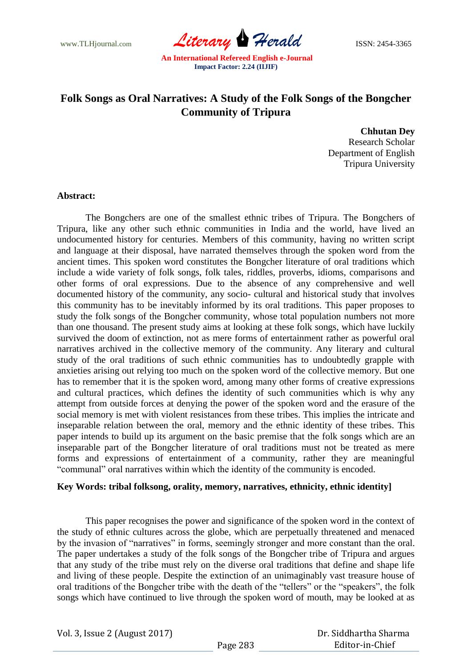www.TLHjournal.com *Literary Herald* ISSN: 2454-3365

# **Folk Songs as Oral Narratives: A Study of the Folk Songs of the Bongcher Community of Tripura**

**Chhutan Dey** Research Scholar Department of English Tripura University

## **Abstract:**

The Bongchers are one of the smallest ethnic tribes of Tripura. The Bongchers of Tripura, like any other such ethnic communities in India and the world, have lived an undocumented history for centuries. Members of this community, having no written script and language at their disposal, have narrated themselves through the spoken word from the ancient times. This spoken word constitutes the Bongcher literature of oral traditions which include a wide variety of folk songs, folk tales, riddles, proverbs, idioms, comparisons and other forms of oral expressions. Due to the absence of any comprehensive and well documented history of the community, any socio- cultural and historical study that involves this community has to be inevitably informed by its oral traditions. This paper proposes to study the folk songs of the Bongcher community, whose total population numbers not more than one thousand. The present study aims at looking at these folk songs, which have luckily survived the doom of extinction, not as mere forms of entertainment rather as powerful oral narratives archived in the collective memory of the community. Any literary and cultural study of the oral traditions of such ethnic communities has to undoubtedly grapple with anxieties arising out relying too much on the spoken word of the collective memory. But one has to remember that it is the spoken word, among many other forms of creative expressions and cultural practices, which defines the identity of such communities which is why any attempt from outside forces at denying the power of the spoken word and the erasure of the social memory is met with violent resistances from these tribes. This implies the intricate and inseparable relation between the oral, memory and the ethnic identity of these tribes. This paper intends to build up its argument on the basic premise that the folk songs which are an inseparable part of the Bongcher literature of oral traditions must not be treated as mere forms and expressions of entertainment of a community, rather they are meaningful "communal" oral narratives within which the identity of the community is encoded.

## **Key Words: tribal folksong, orality, memory, narratives, ethnicity, ethnic identity]**

This paper recognises the power and significance of the spoken word in the context of the study of ethnic cultures across the globe, which are perpetually threatened and menaced by the invasion of "narratives" in forms, seemingly stronger and more constant than the oral. The paper undertakes a study of the folk songs of the Bongcher tribe of Tripura and argues that any study of the tribe must rely on the diverse oral traditions that define and shape life and living of these people. Despite the extinction of an unimaginably vast treasure house of oral traditions of the Bongcher tribe with the death of the "tellers" or the "speakers", the folk songs which have continued to live through the spoken word of mouth, may be looked at as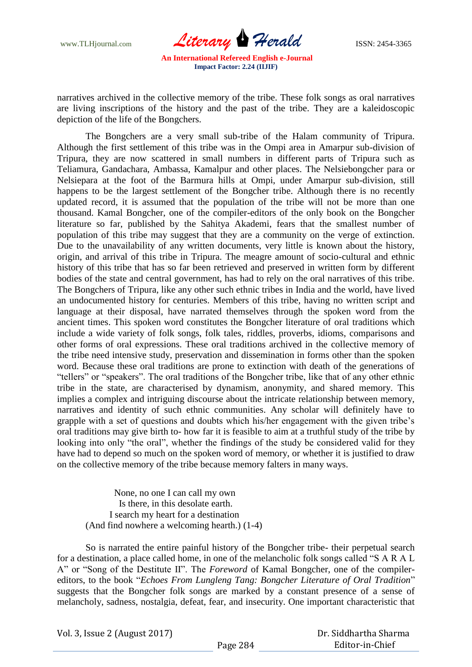

narratives archived in the collective memory of the tribe. These folk songs as oral narratives are living inscriptions of the history and the past of the tribe. They are a kaleidoscopic depiction of the life of the Bongchers.

The Bongchers are a very small sub-tribe of the Halam community of Tripura. Although the first settlement of this tribe was in the Ompi area in Amarpur sub-division of Tripura, they are now scattered in small numbers in different parts of Tripura such as Teliamura, Gandachara, Ambassa, Kamalpur and other places. The Nelsiebongcher para or Nelsiepara at the foot of the Barmura hills at Ompi, under Amarpur sub-division, still happens to be the largest settlement of the Bongcher tribe. Although there is no recently updated record, it is assumed that the population of the tribe will not be more than one thousand. Kamal Bongcher, one of the compiler-editors of the only book on the Bongcher literature so far, published by the Sahitya Akademi, fears that the smallest number of population of this tribe may suggest that they are a community on the verge of extinction. Due to the unavailability of any written documents, very little is known about the history, origin, and arrival of this tribe in Tripura. The meagre amount of socio-cultural and ethnic history of this tribe that has so far been retrieved and preserved in written form by different bodies of the state and central government, has had to rely on the oral narratives of this tribe. The Bongchers of Tripura, like any other such ethnic tribes in India and the world, have lived an undocumented history for centuries. Members of this tribe, having no written script and language at their disposal, have narrated themselves through the spoken word from the ancient times. This spoken word constitutes the Bongcher literature of oral traditions which include a wide variety of folk songs, folk tales, riddles, proverbs, idioms, comparisons and other forms of oral expressions. These oral traditions archived in the collective memory of the tribe need intensive study, preservation and dissemination in forms other than the spoken word. Because these oral traditions are prone to extinction with death of the generations of "tellers" or "speakers". The oral traditions of the Bongcher tribe, like that of any other ethnic tribe in the state, are characterised by dynamism, anonymity, and shared memory. This implies a complex and intriguing discourse about the intricate relationship between memory, narratives and identity of such ethnic communities. Any scholar will definitely have to grapple with a set of questions and doubts which his/her engagement with the given tribe"s oral traditions may give birth to- how far it is feasible to aim at a truthful study of the tribe by looking into only "the oral", whether the findings of the study be considered valid for they have had to depend so much on the spoken word of memory, or whether it is justified to draw on the collective memory of the tribe because memory falters in many ways.

None, no one I can call my own Is there, in this desolate earth. I search my heart for a destination (And find nowhere a welcoming hearth.) (1-4)

So is narrated the entire painful history of the Bongcher tribe- their perpetual search for a destination, a place called home, in one of the melancholic folk songs called "S A R A L A" or "Song of the Destitute II". The *Foreword* of Kamal Bongcher, one of the compilereditors, to the book "*Echoes From Lungleng Tang: Bongcher Literature of Oral Tradition*" suggests that the Bongcher folk songs are marked by a constant presence of a sense of melancholy, sadness, nostalgia, defeat, fear, and insecurity. One important characteristic that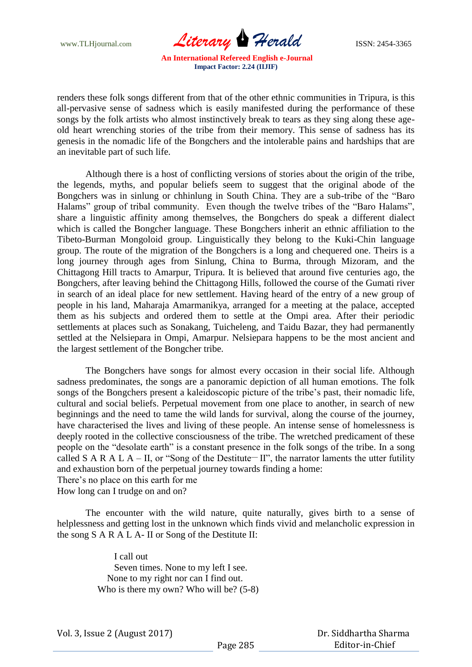www.TLHjournal.com *Literary Herald* ISSN: 2454-3365

renders these folk songs different from that of the other ethnic communities in Tripura, is this all-pervasive sense of sadness which is easily manifested during the performance of these songs by the folk artists who almost instinctively break to tears as they sing along these ageold heart wrenching stories of the tribe from their memory. This sense of sadness has its genesis in the nomadic life of the Bongchers and the intolerable pains and hardships that are an inevitable part of such life.

Although there is a host of conflicting versions of stories about the origin of the tribe, the legends, myths, and popular beliefs seem to suggest that the original abode of the Bongchers was in sinlung or chhinlung in South China. They are a sub-tribe of the "Baro Halams" group of tribal community. Even though the twelve tribes of the "Baro Halams", share a linguistic affinity among themselves, the Bongchers do speak a different dialect which is called the Bongcher language. These Bongchers inherit an ethnic affiliation to the Tibeto-Burman Mongoloid group. Linguistically they belong to the Kuki-Chin language group. The route of the migration of the Bongchers is a long and chequered one. Theirs is a long journey through ages from Sinlung, China to Burma, through Mizoram, and the Chittagong Hill tracts to Amarpur, Tripura. It is believed that around five centuries ago, the Bongchers, after leaving behind the Chittagong Hills, followed the course of the Gumati river in search of an ideal place for new settlement. Having heard of the entry of a new group of people in his land, Maharaja Amarmanikya, arranged for a meeting at the palace, accepted them as his subjects and ordered them to settle at the Ompi area. After their periodic settlements at places such as Sonakang, Tuicheleng, and Taidu Bazar, they had permanently settled at the Nelsiepara in Ompi, Amarpur. Nelsiepara happens to be the most ancient and the largest settlement of the Bongcher tribe.

The Bongchers have songs for almost every occasion in their social life. Although sadness predominates, the songs are a panoramic depiction of all human emotions. The folk songs of the Bongchers present a kaleidoscopic picture of the tribe"s past, their nomadic life, cultural and social beliefs. Perpetual movement from one place to another, in search of new beginnings and the need to tame the wild lands for survival, along the course of the journey, have characterised the lives and living of these people. An intense sense of homelessness is deeply rooted in the collective consciousness of the tribe. The wretched predicament of these people on the "desolate earth" is a constant presence in the folk songs of the tribe. In a song called S A R A L A – II, or "Song of the Destitute<sup>-</sup> II", the narrator laments the utter futility and exhaustion born of the perpetual journey towards finding a home: There"s no place on this earth for me

How long can I trudge on and on?

The encounter with the wild nature, quite naturally, gives birth to a sense of helplessness and getting lost in the unknown which finds vivid and melancholic expression in the song S A R A L A- II or Song of the Destitute II:

> I call out Seven times. None to my left I see. None to my right nor can I find out. Who is there my own? Who will be? (5-8)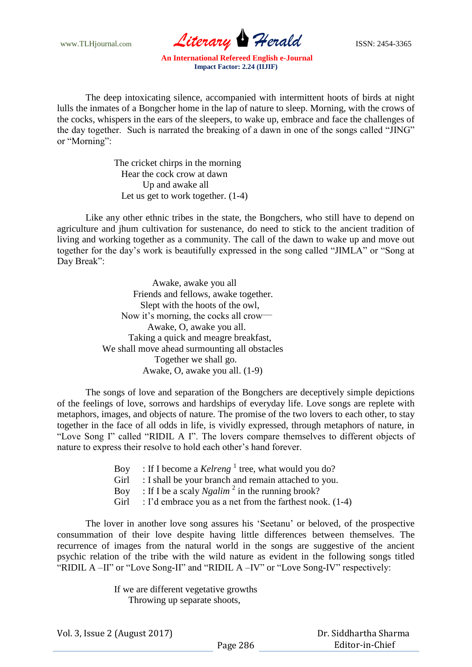www.TLHjournal.com *Literary Herald* ISSN: 2454-3365

The deep intoxicating silence, accompanied with intermittent hoots of birds at night lulls the inmates of a Bongcher home in the lap of nature to sleep. Morning, with the crows of the cocks, whispers in the ears of the sleepers, to wake up, embrace and face the challenges of the day together. Such is narrated the breaking of a dawn in one of the songs called "JING" or "Morning":

> The cricket chirps in the morning Hear the cock crow at dawn Up and awake all Let us get to work together. (1-4)

Like any other ethnic tribes in the state, the Bongchers, who still have to depend on agriculture and jhum cultivation for sustenance, do need to stick to the ancient tradition of living and working together as a community. The call of the dawn to wake up and move out together for the day"s work is beautifully expressed in the song called "JIMLA" or "Song at Day Break":

> Awake, awake you all Friends and fellows, awake together. Slept with the hoots of the owl, Now it's morning, the cocks all crow— Awake, O, awake you all. Taking a quick and meagre breakfast, We shall move ahead surmounting all obstacles Together we shall go. Awake, O, awake you all. (1-9)

The songs of love and separation of the Bongchers are deceptively simple depictions of the feelings of love, sorrows and hardships of everyday life. Love songs are replete with metaphors, images, and objects of nature. The promise of the two lovers to each other, to stay together in the face of all odds in life, is vividly expressed, through metaphors of nature, in "Love Song I" called "RIDIL A I". The lovers compare themselves to different objects of nature to express their resolve to hold each other"s hand forever.

- Boy : If I become a *Kelreng*<sup>1</sup> tree, what would you do?
- Girl : I shall be your branch and remain attached to you.
- Boy : If I be a scaly *Ngalim*<sup>2</sup> in the running brook?
- Girl : I'd embrace you as a net from the farthest nook. (1-4)

The lover in another love song assures his "Seetanu" or beloved, of the prospective consummation of their love despite having little differences between themselves. The recurrence of images from the natural world in the songs are suggestive of the ancient psychic relation of the tribe with the wild nature as evident in the following songs titled "RIDIL A –II" or "Love Song-II" and "RIDIL A –IV" or "Love Song-IV" respectively:

> If we are different vegetative growths Throwing up separate shoots,

Vol. 3, Issue 2 (August 2017)

 Dr. Siddhartha Sharma Editor-in-Chief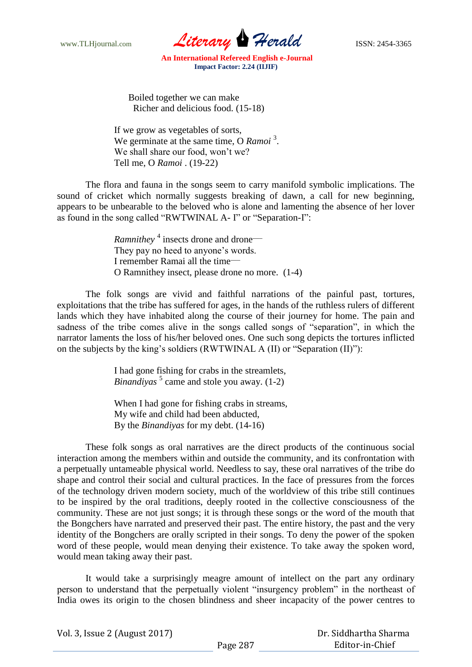www.TLHjournal.com *Literary Herald* ISSN: 2454-3365

 Boiled together we can make Richer and delicious food. (15-18)

If we grow as vegetables of sorts, We germinate at the same time, O *Ramoi*<sup>3</sup>. We shall share our food, won't we? Tell me, O *Ramoi* . (19-22)

The flora and fauna in the songs seem to carry manifold symbolic implications. The sound of cricket which normally suggests breaking of dawn, a call for new beginning, appears to be unbearable to the beloved who is alone and lamenting the absence of her lover as found in the song called "RWTWINAL A- I" or "Separation-I":

> *Ramnithey*<sup>4</sup> insects drone and drone— They pay no heed to anyone's words. I remember Ramai all the time-O Ramnithey insect, please drone no more. (1-4)

The folk songs are vivid and faithful narrations of the painful past, tortures, exploitations that the tribe has suffered for ages, in the hands of the ruthless rulers of different lands which they have inhabited along the course of their journey for home. The pain and sadness of the tribe comes alive in the songs called songs of "separation", in which the narrator laments the loss of his/her beloved ones. One such song depicts the tortures inflicted on the subjects by the king"s soldiers (RWTWINAL A (II) or "Separation (II)"):

> I had gone fishing for crabs in the streamlets, Binandiyas<sup>5</sup> came and stole you away. (1-2)

> When I had gone for fishing crabs in streams, My wife and child had been abducted, By the *Binandiyas* for my debt. (14-16)

These folk songs as oral narratives are the direct products of the continuous social interaction among the members within and outside the community, and its confrontation with a perpetually untameable physical world. Needless to say, these oral narratives of the tribe do shape and control their social and cultural practices. In the face of pressures from the forces of the technology driven modern society, much of the worldview of this tribe still continues to be inspired by the oral traditions, deeply rooted in the collective consciousness of the community. These are not just songs; it is through these songs or the word of the mouth that the Bongchers have narrated and preserved their past. The entire history, the past and the very identity of the Bongchers are orally scripted in their songs. To deny the power of the spoken word of these people, would mean denying their existence. To take away the spoken word, would mean taking away their past.

It would take a surprisingly meagre amount of intellect on the part any ordinary person to understand that the perpetually violent "insurgency problem" in the northeast of India owes its origin to the chosen blindness and sheer incapacity of the power centres to

|  | Vol. 3, Issue 2 (August 2017) |
|--|-------------------------------|
|--|-------------------------------|

 Dr. Siddhartha Sharma Editor-in-Chief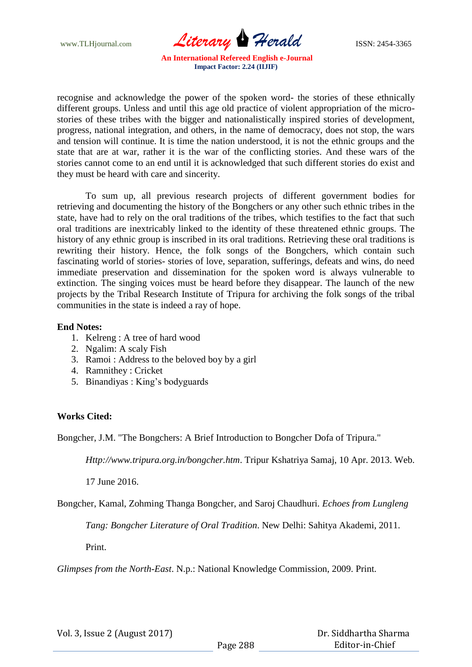www.TLHjournal.com *Literary Herald* ISSN: 2454-3365

recognise and acknowledge the power of the spoken word- the stories of these ethnically different groups. Unless and until this age old practice of violent appropriation of the microstories of these tribes with the bigger and nationalistically inspired stories of development, progress, national integration, and others, in the name of democracy, does not stop, the wars and tension will continue. It is time the nation understood, it is not the ethnic groups and the state that are at war, rather it is the war of the conflicting stories. And these wars of the stories cannot come to an end until it is acknowledged that such different stories do exist and they must be heard with care and sincerity.

To sum up, all previous research projects of different government bodies for retrieving and documenting the history of the Bongchers or any other such ethnic tribes in the state, have had to rely on the oral traditions of the tribes, which testifies to the fact that such oral traditions are inextricably linked to the identity of these threatened ethnic groups. The history of any ethnic group is inscribed in its oral traditions. Retrieving these oral traditions is rewriting their history. Hence, the folk songs of the Bongchers, which contain such fascinating world of stories- stories of love, separation, sufferings, defeats and wins, do need immediate preservation and dissemination for the spoken word is always vulnerable to extinction. The singing voices must be heard before they disappear. The launch of the new projects by the Tribal Research Institute of Tripura for archiving the folk songs of the tribal communities in the state is indeed a ray of hope.

## **End Notes:**

- 1. Kelreng : A tree of hard wood
- 2. Ngalim: A scaly Fish
- 3. Ramoi : Address to the beloved boy by a girl
- 4. Ramnithey : Cricket
- 5. Binandiyas : King"s bodyguards

# **Works Cited:**

Bongcher, J.M. "The Bongchers: A Brief Introduction to Bongcher Dofa of Tripura."

*Http://www.tripura.org.in/bongcher.htm*. Tripur Kshatriya Samaj, 10 Apr. 2013. Web.

17 June 2016.

Bongcher, Kamal, Zohming Thanga Bongcher, and Saroj Chaudhuri. *Echoes from Lungleng* 

*Tang: Bongcher Literature of Oral Tradition*. New Delhi: Sahitya Akademi, 2011.

Print.

*Glimpses from the North-East*. N.p.: National Knowledge Commission, 2009. Print.